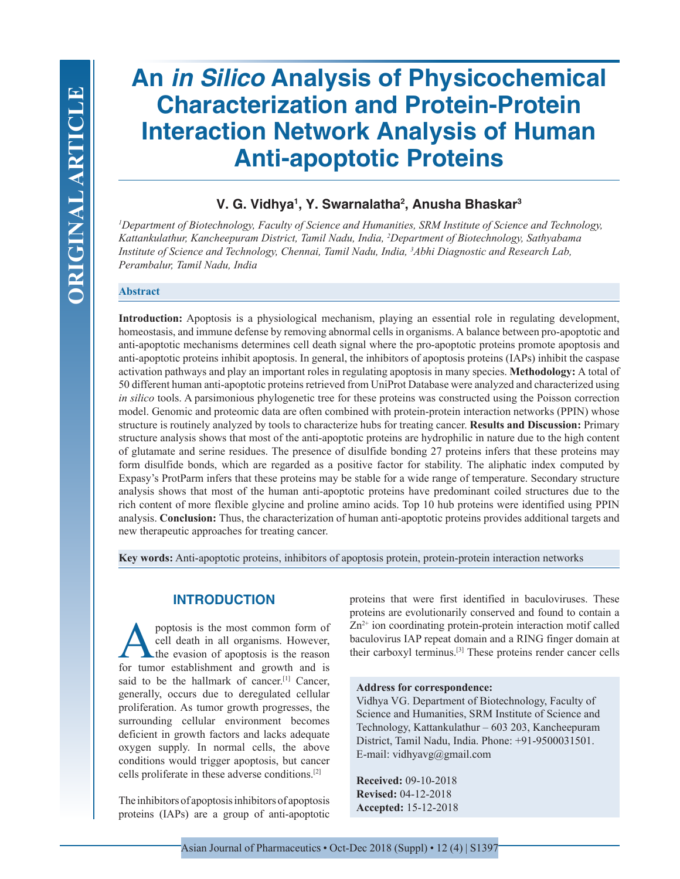# **An** *in Silico* **Analysis of Physicochemical Characterization and Protein-Protein Interaction Network Analysis of Human Anti-apoptotic Proteins**

# **V. G. Vidhya1 , Y. Swarnalatha2 , Anusha Bhaskar3**

*1 Department of Biotechnology, Faculty of Science and Humanities, SRM Institute of Science and Technology, Kattankulathur, Kancheepuram District, Tamil Nadu, India, 2 Department of Biotechnology, Sathyabama Institute of Science and Technology, Chennai, Tamil Nadu, India, 3 Abhi Diagnostic and Research Lab, Perambalur, Tamil Nadu, India*

## **Abstract**

**Introduction:** Apoptosis is a physiological mechanism, playing an essential role in regulating development, homeostasis, and immune defense by removing abnormal cells in organisms. A balance between pro-apoptotic and anti-apoptotic mechanisms determines cell death signal where the pro-apoptotic proteins promote apoptosis and anti-apoptotic proteins inhibit apoptosis. In general, the inhibitors of apoptosis proteins (IAPs) inhibit the caspase activation pathways and play an important roles in regulating apoptosis in many species. **Methodology:** A total of 50 different human anti-apoptotic proteins retrieved from UniProt Database were analyzed and characterized using *in silico* tools. A parsimonious phylogenetic tree for these proteins was constructed using the Poisson correction model. Genomic and proteomic data are often combined with protein-protein interaction networks (PPIN) whose structure is routinely analyzed by tools to characterize hubs for treating cancer. **Results and Discussion:** Primary structure analysis shows that most of the anti-apoptotic proteins are hydrophilic in nature due to the high content of glutamate and serine residues. The presence of disulfide bonding 27 proteins infers that these proteins may form disulfide bonds, which are regarded as a positive factor for stability. The aliphatic index computed by Expasy's ProtParm infers that these proteins may be stable for a wide range of temperature. Secondary structure analysis shows that most of the human anti-apoptotic proteins have predominant coiled structures due to the rich content of more flexible glycine and proline amino acids. Top 10 hub proteins were identified using PPIN analysis. **Conclusion:** Thus, the characterization of human anti-apoptotic proteins provides additional targets and new therapeutic approaches for treating cancer.

**Key words:** Anti-apoptotic proteins, inhibitors of apoptosis protein, protein-protein interaction networks

# **INTRODUCTION**

poptosis is the most common form of<br>cell death in all organisms. However,<br>the evasion of apoptosis is the reason<br>for tumor establishment and growth and is cell death in all organisms. However, the evasion of apoptosis is the reason for tumor establishment and growth and is said to be the hallmark of cancer.<sup>[1]</sup> Cancer, generally, occurs due to deregulated cellular proliferation. As tumor growth progresses, the surrounding cellular environment becomes deficient in growth factors and lacks adequate oxygen supply. In normal cells, the above conditions would trigger apoptosis, but cancer cells proliferate in these adverse conditions.[2]

The inhibitors of apoptosis inhibitors of apoptosis proteins (IAPs) are a group of anti-apoptotic proteins that were first identified in baculoviruses. These proteins are evolutionarily conserved and found to contain a Zn<sup>2+</sup> ion coordinating protein-protein interaction motif called baculovirus IAP repeat domain and a RING finger domain at their carboxyl terminus.[3] These proteins render cancer cells

#### **Address for correspondence:**

Vidhya VG. Department of Biotechnology, Faculty of Science and Humanities, SRM Institute of Science and Technology, Kattankulathur – 603 203, Kancheepuram District, Tamil Nadu, India. Phone: +91-9500031501. E-mail: vidhyavg@gmail.com

**Received:** 09-10-2018 **Revised:** 04-12-2018 **Accepted:** 15-12-2018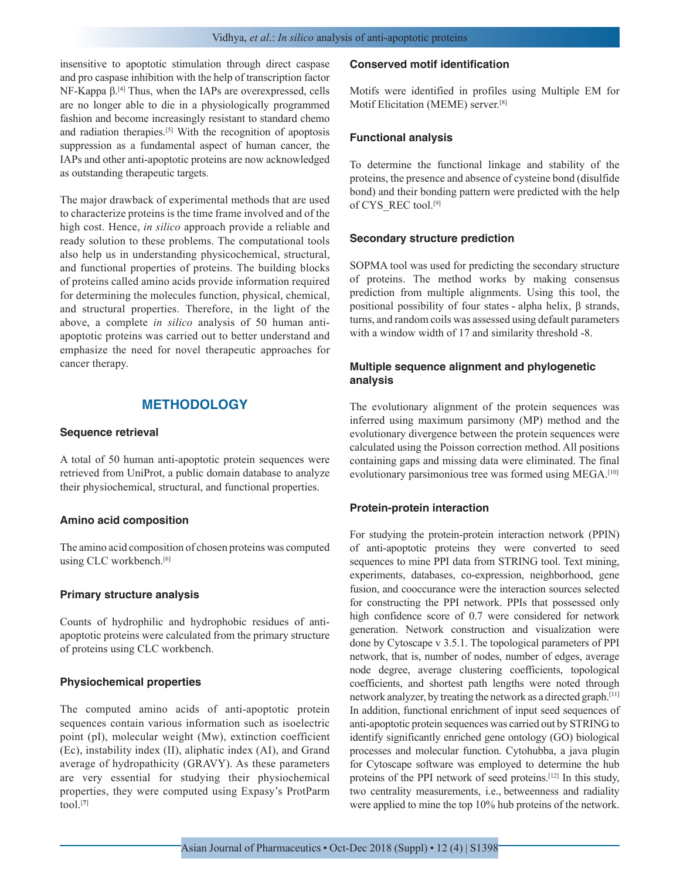insensitive to apoptotic stimulation through direct caspase and pro caspase inhibition with the help of transcription factor NF-Kappa β.[4] Thus, when the IAPs are overexpressed, cells are no longer able to die in a physiologically programmed fashion and become increasingly resistant to standard chemo and radiation therapies.[5] With the recognition of apoptosis suppression as a fundamental aspect of human cancer, the IAPs and other anti-apoptotic proteins are now acknowledged as outstanding therapeutic targets.

The major drawback of experimental methods that are used to characterize proteins is the time frame involved and of the high cost. Hence, *in silico* approach provide a reliable and ready solution to these problems. The computational tools also help us in understanding physicochemical, structural, and functional properties of proteins. The building blocks of proteins called amino acids provide information required for determining the molecules function, physical, chemical, and structural properties. Therefore, in the light of the above, a complete *in silico* analysis of 50 human antiapoptotic proteins was carried out to better understand and emphasize the need for novel therapeutic approaches for cancer therapy.

# **METHODOLOGY**

#### **Sequence retrieval**

A total of 50 human anti-apoptotic protein sequences were retrieved from UniProt, a public domain database to analyze their physiochemical, structural, and functional properties.

#### **Amino acid composition**

The amino acid composition of chosen proteins was computed using CLC workbench.<sup>[6]</sup>

#### **Primary structure analysis**

Counts of hydrophilic and hydrophobic residues of antiapoptotic proteins were calculated from the primary structure of proteins using CLC workbench.

#### **Physiochemical properties**

The computed amino acids of anti-apoptotic protein sequences contain various information such as isoelectric point (pI), molecular weight (Mw), extinction coefficient (Ec), instability index (II), aliphatic index (AI), and Grand average of hydropathicity (GRAVY). As these parameters are very essential for studying their physiochemical properties, they were computed using Expasy's ProtParm tool.[**<sup>7</sup>**]

#### **Conserved motif identification**

Motifs were identified in profiles using Multiple EM for Motif Elicitation (MEME) server.[8]

#### **Functional analysis**

To determine the functional linkage and stability of the proteins, the presence and absence of cysteine bond (disulfide bond) and their bonding pattern were predicted with the help of CYS\_REC tool.[9]

#### **Secondary structure prediction**

SOPMA tool was used for predicting the secondary structure of proteins. The method works by making consensus prediction from multiple alignments. Using this tool, the positional possibility of four states - alpha helix, β strands, turns, and random coils was assessed using default parameters with a window width of 17 and similarity threshold -8.

## **Multiple sequence alignment and phylogenetic analysis**

The evolutionary alignment of the protein sequences was inferred using maximum parsimony (MP) method and the evolutionary divergence between the protein sequences were calculated using the Poisson correction method. All positions containing gaps and missing data were eliminated. The final evolutionary parsimonious tree was formed using MEGA.<sup>[10]</sup>

#### **Protein-protein interaction**

For studying the protein-protein interaction network (PPIN) of anti-apoptotic proteins they were converted to seed sequences to mine PPI data from STRING tool. Text mining, experiments, databases, co-expression, neighborhood, gene fusion, and cooccurance were the interaction sources selected for constructing the PPI network. PPIs that possessed only high confidence score of 0.7 were considered for network generation. Network construction and visualization were done by Cytoscape v 3.5.1. The topological parameters of PPI network, that is, number of nodes, number of edges, average node degree, average clustering coefficients, topological coefficients, and shortest path lengths were noted through network analyzer, by treating the network as a directed graph. [11] In addition, functional enrichment of input seed sequences of anti-apoptotic protein sequences was carried out by STRING to identify significantly enriched gene ontology (GO) biological processes and molecular function. Cytohubba, a java plugin for Cytoscape software was employed to determine the hub proteins of the PPI network of seed proteins.[12] In this study, two centrality measurements, i.e., betweenness and radiality were applied to mine the top 10% hub proteins of the network.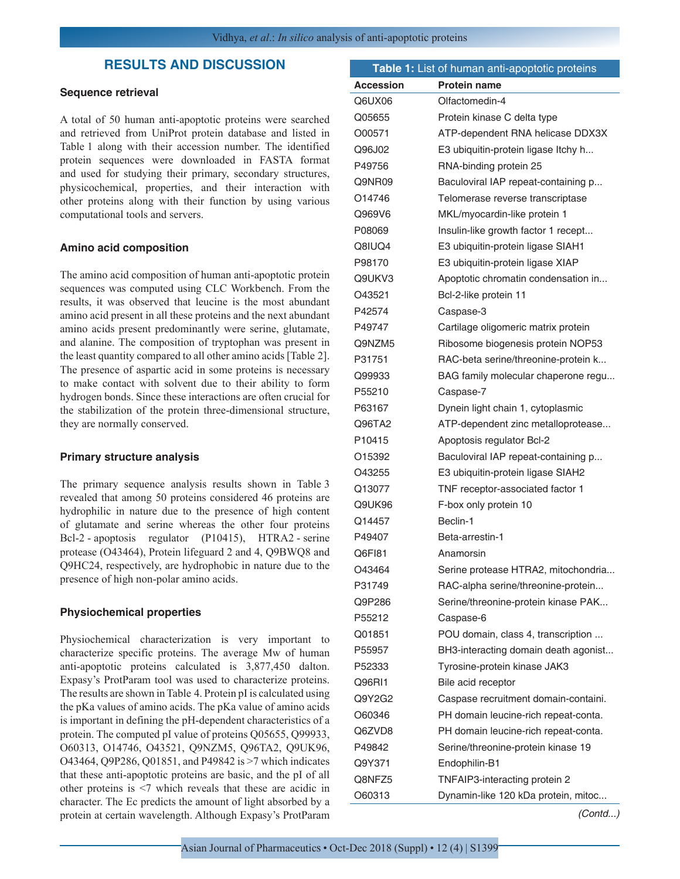# **RESULTS AND DISCUSSION**

#### **Sequence retrieval**

A total of 50 human anti-apoptotic proteins were searched and retrieved from UniProt protein database and listed in Table 1 along with their accession number. The identified protein sequences were downloaded in FASTA format and used for studying their primary, secondary structures, physicochemical, properties, and their interaction with other proteins along with their function by using various computational tools and servers.

#### **Amino acid composition**

The amino acid composition of human anti-apoptotic protein sequences was computed using CLC Workbench. From the results, it was observed that leucine is the most abundant amino acid present in all these proteins and the next abundant amino acids present predominantly were serine, glutamate, and alanine. The composition of tryptophan was present in the least quantity compared to all other amino acids [Table 2]. The presence of aspartic acid in some proteins is necessary to make contact with solvent due to their ability to form hydrogen bonds. Since these interactions are often crucial for the stabilization of the protein three-dimensional structure, they are normally conserved.

## **Primary structure analysis**

The primary sequence analysis results shown in Table 3 revealed that among 50 proteins considered 46 proteins are hydrophilic in nature due to the presence of high content of glutamate and serine whereas the other four proteins Bcl-2 - apoptosis regulator (P10415), HTRA2 - serine protease (O43464), Protein lifeguard 2 and 4, Q9BWQ8 and Q9HC24, respectively, are hydrophobic in nature due to the presence of high non-polar amino acids.

#### **Physiochemical properties**

Physiochemical characterization is very important to characterize specific proteins. The average Mw of human anti-apoptotic proteins calculated is 3,877,450 dalton. Expasy's ProtParam tool was used to characterize proteins. The results are shown in Table 4. Protein pI is calculated using the pKa values of amino acids. The pKa value of amino acids is important in defining the pH-dependent characteristics of a protein. The computed pI value of proteins Q05655, Q99933, O60313, O14746, O43521, Q9NZM5, Q96TA2, Q9UK96, O43464, Q9P286, Q01851, and P49842 is >7 which indicates that these anti-apoptotic proteins are basic, and the pI of all other proteins is <7 which reveals that these are acidic in character. The Ec predicts the amount of light absorbed by a protein at certain wavelength. Although Expasy's ProtParam

|                  | Table 1: List of human anti-apoptotic proteins |
|------------------|------------------------------------------------|
| <b>Accession</b> | <b>Protein name</b>                            |
| Q6UX06           | Olfactomedin-4                                 |
| Q05655           | Protein kinase C delta type                    |
| O00571           | ATP-dependent RNA helicase DDX3X               |
| Q96J02           | E3 ubiquitin-protein ligase Itchy h            |
| P49756           | RNA-binding protein 25                         |
| Q9NR09           | Baculoviral IAP repeat-containing p            |
| O14746           | Telomerase reverse transcriptase               |
| Q969V6           | MKL/myocardin-like protein 1                   |
| P08069           | Insulin-like growth factor 1 recept            |
| Q8IUQ4           | E3 ubiquitin-protein ligase SIAH1              |
| P98170           | E3 ubiquitin-protein ligase XIAP               |
| Q9UKV3           | Apoptotic chromatin condensation in            |
| 043521           | Bcl-2-like protein 11                          |
| P42574           | Caspase-3                                      |
| P49747           | Cartilage oligomeric matrix protein            |
| Q9NZM5           | Ribosome biogenesis protein NOP53              |
| P31751           | RAC-beta serine/threonine-protein k            |
| Q99933           | BAG family molecular chaperone regu            |
| P55210           | Caspase-7                                      |
| P63167           | Dynein light chain 1, cytoplasmic              |
| Q96TA2           | ATP-dependent zinc metalloprotease             |
| P10415           | Apoptosis regulator Bcl-2                      |
| O15392           | Baculoviral IAP repeat-containing p            |
| O43255           | E3 ubiquitin-protein ligase SIAH2              |
| Q13077           | TNF receptor-associated factor 1               |
| Q9UK96           | F-box only protein 10                          |
| Q14457           | Beclin-1                                       |
| P49407           | Beta-arrestin-1                                |
| Q6F181           | Anamorsin                                      |
| O43464           | Serine protease HTRA2, mitochondria            |
| P31749           | RAC-alpha serine/threonine-protein             |
| Q9P286           | Serine/threonine-protein kinase PAK            |
| P55212           | Caspase-6                                      |
| Q01851           | POU domain, class 4, transcription             |
| P55957           | BH3-interacting domain death agonist           |
| P52333           | Tyrosine-protein kinase JAK3                   |
| Q96RI1           | Bile acid receptor                             |
| Q9Y2G2           | Caspase recruitment domain-containi.           |
| O60346           | PH domain leucine-rich repeat-conta.           |
| Q6ZVD8           | PH domain leucine-rich repeat-conta.           |
| P49842           | Serine/threonine-protein kinase 19             |
| Q9Y371           | Endophilin-B1                                  |
| Q8NFZ5           | TNFAIP3-interacting protein 2                  |
| O60313           | Dynamin-like 120 kDa protein, mitoc            |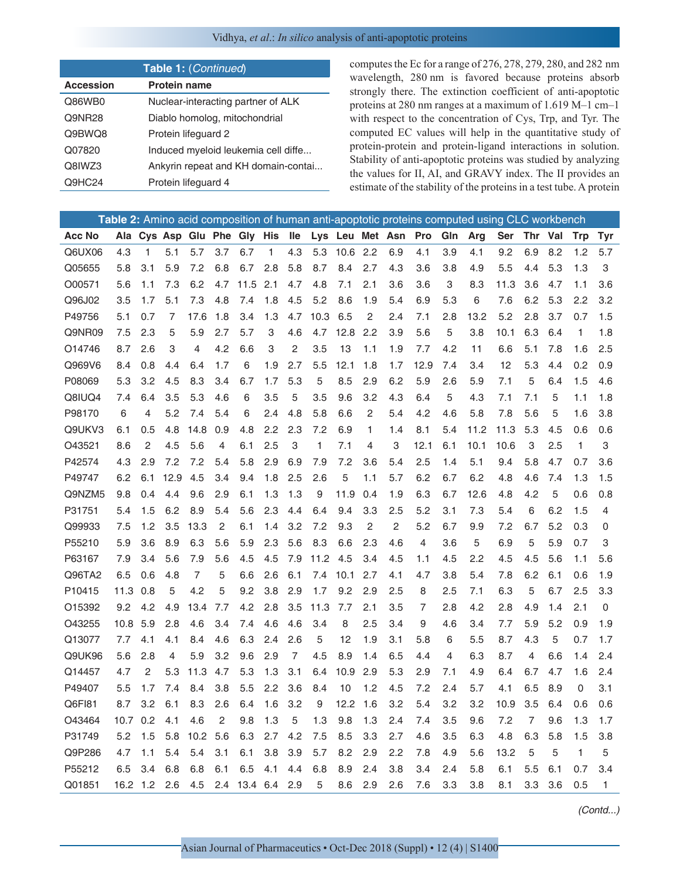| Table 1: (Continued) |                                     |  |  |  |  |  |  |
|----------------------|-------------------------------------|--|--|--|--|--|--|
| <b>Accession</b>     | <b>Protein name</b>                 |  |  |  |  |  |  |
| Q86WB0               | Nuclear-interacting partner of ALK  |  |  |  |  |  |  |
| Q9NR28               | Diablo homolog, mitochondrial       |  |  |  |  |  |  |
| Q9BWQ8               | Protein lifequard 2                 |  |  |  |  |  |  |
| Q07820               | Induced myeloid leukemia cell diffe |  |  |  |  |  |  |
| Q8IWZ3               | Ankyrin repeat and KH domain-contai |  |  |  |  |  |  |
| Q9HC24               | Protein lifequard 4                 |  |  |  |  |  |  |

computes the Ec for a range of 276, 278, 279, 280, and 282 nm wavelength, 280 nm is favored because proteins absorb strongly there. The extinction coefficient of anti-apoptotic proteins at 280 nm ranges at a maximum of 1.619 M–1 cm–1 with respect to the concentration of Cys, Trp, and Tyr. The computed EC values will help in the quantitative study of protein-protein and protein-ligand interactions in solution. Stability of anti-apoptotic proteins was studied by analyzing the values for II, AI, and GRAVY index. The II provides an estimate of the stability of the proteins in a test tube. A protein

|               |      |                  |      |          |     |                      |     |     |      |            |                |     |                                                         |     |      | Table 2: Amino acid composition of human anti-apoptotic proteins computed using CLC workbench |         |             |            |     |
|---------------|------|------------------|------|----------|-----|----------------------|-----|-----|------|------------|----------------|-----|---------------------------------------------------------|-----|------|-----------------------------------------------------------------------------------------------|---------|-------------|------------|-----|
| <b>Acc No</b> |      |                  |      |          |     |                      |     |     |      |            |                |     | Ala Cys Asp Glu Phe Gly His Ile Lys Leu Met Asn Pro Gln |     | Arg  | Ser                                                                                           | Thr Val |             | <b>Trp</b> | Tyr |
| Q6UX06        | 4.3  | 1                | 5.1  | 5.7      | 3.7 | 6.7                  | 1   | 4.3 | 5.3  | 10.6       | 2.2            | 6.9 | 4.1                                                     | 3.9 | 4.1  | 9.2                                                                                           | 6.9     | 8.2         | 1.2        | 5.7 |
| Q05655        | 5.8  | 3.1              | 5.9  | 7.2      | 6.8 | 6.7                  | 2.8 | 5.8 | 8.7  | 8.4        | 2.7            | 4.3 | 3.6                                                     | 3.8 | 4.9  | 5.5                                                                                           | 4.4     | 5.3         | 1.3        | 3   |
| O00571        | 5.6  | 1.1              | 7.3  | 6.2      | 4.7 | 11.5                 | 2.1 | 4.7 | 4.8  | 7.1        | 2.1            | 3.6 | 3.6                                                     | 3   | 8.3  | 11.3                                                                                          | 3.6     | 4.7         | 1.1        | 3.6 |
| Q96J02        | 3.5  | 1.7              | 5.1  | 7.3      | 4.8 | 7.4                  | 1.8 | 4.5 | 5.2  | 8.6        | 1.9            | 5.4 | 6.9                                                     | 5.3 | 6    | 7.6                                                                                           | 6.2     | 5.3         | 2.2        | 3.2 |
| P49756        | 5.1  | 0.7              | 7    | 17.6     | 1.8 | 3.4                  | 1.3 | 4.7 | 10.3 | 6.5        | $\overline{2}$ | 2.4 | 7.1                                                     | 2.8 | 13.2 | 5.2                                                                                           | 2.8     | 3.7         | 0.7        | 1.5 |
| Q9NR09        | 7.5  | 2.3              | 5    | 5.9      | 2.7 | 5.7                  | 3   | 4.6 | 4.7  | 12.8       | 2.2            | 3.9 | 5.6                                                     | 5   | 3.8  | 10.1                                                                                          | 6.3     | 6.4         | 1          | 1.8 |
| O14746        | 8.7  | 2.6              | 3    | 4        | 4.2 | 6.6                  | 3   | 2   | 3.5  | 13         | 1.1            | 1.9 | 7.7                                                     | 4.2 | 11   | 6.6                                                                                           | 5.1     | 7.8         | 1.6        | 2.5 |
| Q969V6        | 8.4  | 0.8              | 4.4  | 6.4      | 1.7 | 6                    | 1.9 | 2.7 | 5.5  | 12.1       | 1.8            | 1.7 | 12.9                                                    | 7.4 | 3.4  | 12                                                                                            | 5.3     | 4.4         | 0.2        | 0.9 |
| P08069        | 5.3  | 3.2              | 4.5  | 8.3      | 3.4 | 6.7                  | 1.7 | 5.3 | 5    | 8.5        | 2.9            | 6.2 | 5.9                                                     | 2.6 | 5.9  | 7.1                                                                                           | 5       | 6.4         | 1.5        | 4.6 |
| Q8IUQ4        | 7.4  | 6.4              | 3.5  | 5.3      | 4.6 | 6                    | 3.5 | 5   | 3.5  | 9.6        | 3.2            | 4.3 | 6.4                                                     | 5   | 4.3  | 7.1                                                                                           | 7.1     | 5           | 1.1        | 1.8 |
| P98170        | 6    | 4                | 5.2  | 7.4      | 5.4 | 6                    | 2.4 | 4.8 | 5.8  | 6.6        | $\overline{2}$ | 5.4 | 4.2                                                     | 4.6 | 5.8  | 7.8                                                                                           | 5.6     | 5           | 1.6        | 3.8 |
| Q9UKV3        | 6.1  | 0.5              | 4.8  | 14.8     | 0.9 | 4.8                  | 2.2 | 2.3 | 7.2  | 6.9        | 1              | 1.4 | 8.1                                                     | 5.4 | 11.2 | 11.3                                                                                          | 5.3     | 4.5         | 0.6        | 0.6 |
| O43521        | 8.6  | 2                | 4.5  | 5.6      | 4   | 6.1                  | 2.5 | 3   | 1    | 7.1        | 4              | 3   | 12.1                                                    | 6.1 | 10.1 | 10.6                                                                                          | 3       | 2.5         | 1          | 3   |
| P42574        | 4.3  | 2.9              | 7.2  | 7.2      | 5.4 | 5.8                  | 2.9 | 6.9 | 7.9  | 7.2        | 3.6            | 5.4 | 2.5                                                     | 1.4 | 5.1  | 9.4                                                                                           | 5.8     | 4.7         | 0.7        | 3.6 |
| P49747        | 6.2  | 6.1              | 12.9 | 4.5      | 3.4 | 9.4                  | 1.8 | 2.5 | 2.6  | 5          | 1.1            | 5.7 | 6.2                                                     | 6.7 | 6.2  | 4.8                                                                                           | 4.6     | 7.4         | 1.3        | 1.5 |
| Q9NZM5        | 9.8  | 0.4              | 4.4  | 9.6      | 2.9 | 6.1                  | 1.3 | 1.3 | 9    | 11.9       | 0.4            | 1.9 | 6.3                                                     | 6.7 | 12.6 | 4.8                                                                                           | 4.2     | 5           | 0.6        | 0.8 |
| P31751        | 5.4  | 1.5              | 6.2  | 8.9      | 5.4 | 5.6                  | 2.3 | 4.4 | 6.4  | 9.4        | 3.3            | 2.5 | 5.2                                                     | 3.1 | 7.3  | 5.4                                                                                           | 6       | 6.2         | 1.5        | 4   |
| Q99933        | 7.5  | 1.2              | 3.5  | 13.3     | 2   | 6.1                  | 1.4 | 3.2 | 7.2  | 9.3        | 2              | 2   | 5.2                                                     | 6.7 | 9.9  | 7.2                                                                                           | 6.7     | 5.2         | 0.3        | 0   |
| P55210        | 5.9  | 3.6              | 8.9  | 6.3      | 5.6 | 5.9                  | 2.3 | 5.6 | 8.3  | 6.6        | 2.3            | 4.6 | 4                                                       | 3.6 | 5    | 6.9                                                                                           | 5       | 5.9         | 0.7        | 3   |
| P63167        | 7.9  | 3.4              | 5.6  | 7.9      | 5.6 | 4.5                  | 4.5 | 7.9 | 11.2 | 4.5        | 3.4            | 4.5 | 1.1                                                     | 4.5 | 2.2  | 4.5                                                                                           | 4.5     | 5.6         | 1.1        | 5.6 |
| Q96TA2        | 6.5  | 0.6              | 4.8  | 7        | 5   | 6.6                  | 2.6 | 6.1 |      | 7.4 10.1   | 2.7            | 4.1 | 4.7                                                     | 3.8 | 5.4  | 7.8                                                                                           | 6.2     | 6.1         | 0.6        | 1.9 |
| P10415        | 11.3 | 0.8              | 5    | 4.2      | 5   | 9.2                  | 3.8 | 2.9 | 1.7  | 9.2        | 2.9            | 2.5 | 8                                                       | 2.5 | 7.1  | 6.3                                                                                           | 5       | 6.7         | 2.5        | 3.3 |
| O15392        | 9.2  | 4.2              | 4.9  | 13.4     | 7.7 | 4.2                  | 2.8 | 3.5 | 11.3 | 7.7        | 2.1            | 3.5 | 7                                                       | 2.8 | 4.2  | 2.8                                                                                           | 4.9     | 1.4         | 2.1        | 0   |
| O43255        | 10.8 | 5.9              | 2.8  | 4.6      | 3.4 | 7.4                  | 4.6 | 4.6 | 3.4  | 8          | 2.5            | 3.4 | 9                                                       | 4.6 | 3.4  | 7.7                                                                                           | 5.9     | 5.2         | 0.9        | 1.9 |
| Q13077        | 7.7  | 4.1              | 4.1  | 8.4      | 4.6 | 6.3                  | 2.4 | 2.6 | 5    | 12         | 1.9            | 3.1 | 5.8                                                     | 6   | 5.5  | 8.7                                                                                           | 4.3     | 5           | 0.7        | 1.7 |
| Q9UK96        | 5.6  | 2.8              | 4    | 5.9      | 3.2 | 9.6                  | 2.9 | 7   | 4.5  | 8.9        | 1.4            | 6.5 | 4.4                                                     | 4   | 6.3  | 8.7                                                                                           | 4       | 6.6         | 1.4        | 2.4 |
| Q14457        | 4.7  | 2                | 5.3  | 11.3     | 4.7 | 5.3                  | 1.3 | 3.1 | 6.4  | 10.9       | 2.9            | 5.3 | 2.9                                                     | 7.1 | 4.9  | 6.4                                                                                           | 6.7     | 4.7         | 1.6        | 2.4 |
| P49407        | 5.5  | 1.7              | 7.4  | 8.4      | 3.8 | 5.5                  | 2.2 | 3.6 | 8.4  | 10         | 1.2            | 4.5 | 7.2                                                     | 2.4 | 5.7  | 4.1                                                                                           | 6.5     | 8.9         | 0          | 3.1 |
| Q6FI81        | 8.7  | 3.2 <sub>2</sub> | 6.1  | 8.3      | 2.6 | 6.4                  | 1.6 | 3.2 | 9    | $12.2$ 1.6 |                | 3.2 | 5.4                                                     | 3.2 | 3.2  | 10.9                                                                                          | 3.5     | 6.4         | 0.6        | 0.6 |
| O43464        |      | 10.7 0.2 4.1     |      | 4.6      | 2   | 9.8                  | 1.3 | 5   | 1.3  | 9.8        | 1.3            | 2.4 | 7.4                                                     | 3.5 | 9.6  | 7.2                                                                                           | 7       | 9.6         | 1.3        | 1.7 |
| P31749        | 5.2  | 1.5              | 5.8  | 10.2 5.6 |     | 6.3                  | 2.7 | 4.2 | 7.5  | 8.5        | 3.3            | 2.7 | 4.6                                                     | 3.5 | 6.3  | 4.8                                                                                           | 6.3     | 5.8         | 1.5        | 3.8 |
| Q9P286        | 4.7  | 1.1              | 5.4  | 5.4      | 3.1 | 6.1                  | 3.8 | 3.9 | 5.7  | 8.2        | 2.9            | 2.2 | 7.8                                                     | 4.9 | 5.6  | 13.2                                                                                          | 5       | 5           | 1          | 5   |
| P55212        | 6.5  | 3.4              | 6.8  | 6.8      | 6.1 | 6.5                  | 4.1 | 4.4 | 6.8  | 8.9        | 2.4            | 3.8 | 3.4                                                     | 2.4 | 5.8  | 6.1                                                                                           | 5.5     | 6.1         | 0.7        | 3.4 |
| Q01851        |      | 16.2 1.2 2.6     |      |          |     | 4.5 2.4 13.4 6.4 2.9 |     |     | 5    | 8.6        | 2.9            | 2.6 | 7.6                                                     | 3.3 | 3.8  | 8.1                                                                                           |         | $3.3$ $3.6$ | 0.5        | 1   |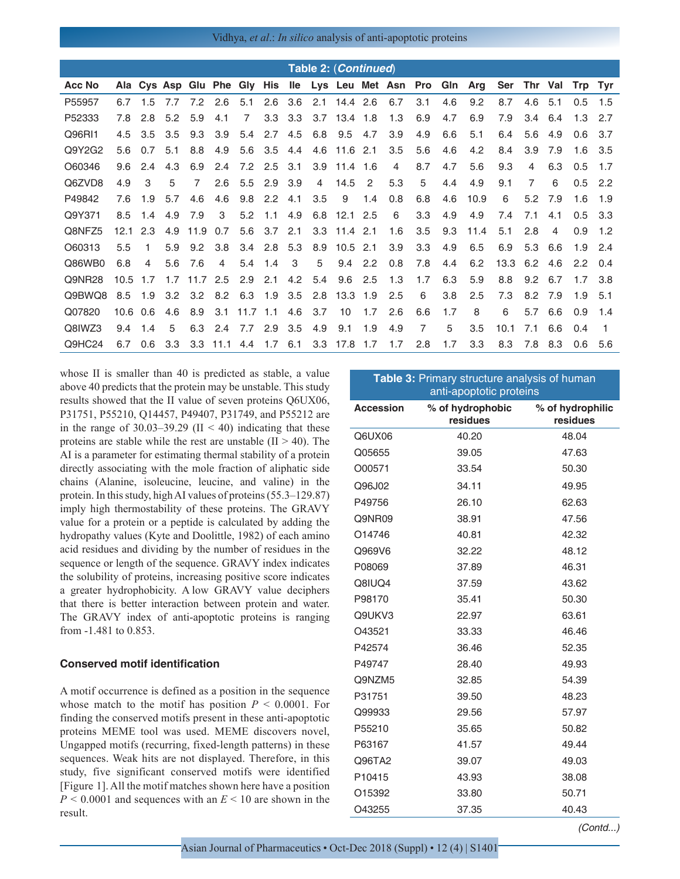|               |      |                |     |                |                 |                 |               |     |                | Table 2: (Continued) |                |                |                |     |                                                             |      |                |                |                 |                |
|---------------|------|----------------|-----|----------------|-----------------|-----------------|---------------|-----|----------------|----------------------|----------------|----------------|----------------|-----|-------------------------------------------------------------|------|----------------|----------------|-----------------|----------------|
| <b>Acc No</b> |      |                |     |                |                 |                 |               |     |                |                      |                |                |                |     | Ala Cys Asp Glu Phe Gly His Ile Lys Leu Met Asn Pro Gln Arg |      | Ser Thr Val    |                | Trp Tyr         |                |
| P55957        | 6.7  | 1.5            | 7.7 | 7.2            | 2.6             | 5.1             | 2.6           | 3.6 |                | 2.1 14.4 2.6         |                | 6.7            | 3.1            | 4.6 | 9.2                                                         | 8.7  | 4.6            | 5.1            | 0.5             | 1.5            |
| P52333        | 7.8  | 2.8            | 5.2 | 5.9            | 4.1             | $\overline{7}$  | 3.3           | 3.3 |                | 3.7 13.4 1.8         |                | 1.3            | 6.9            | 4.7 | 6.9                                                         | 7.9  | 3.4            | 6.4            | $1.3$ 2.7       |                |
| Q96RI1        | 4.5  | 3.5            | 3.5 | 9.3            | 3.9             | 5.4             | 2.7           | 4.5 |                | 6.8 9.5              | 4.7            | 3.9            | 4.9            | 6.6 | 5.1                                                         | 6.4  | 5.6            | 4.9            | 0.6             | - 3.7          |
| Q9Y2G2        | 5.6  | 0.7            | 5.1 | 8.8            | 4.9             | 5.6             | 3.5           | 4.4 |                | 4.6 11.6 2.1         |                | 3.5            | 5.6            | 4.6 | 4.2                                                         | 8.4  | 3.9            | 7.9            | $1.6$ 3.5       |                |
| O60346        | 9.6  | 2.4            | 4.3 | 6.9            | 2.4             |                 | $7.2$ 2.5     | 3.1 |                | $3.9$ 11.4 1.6       |                | $\overline{4}$ | 8.7            | 4.7 | 5.6                                                         | 9.3  | 4              | 6.3            | 0.5             | 1.7            |
| Q6ZVD8        | 4.9  | 3              | 5   | $\overline{7}$ | 2.6             | 5.5             | 2.9           | 3.9 | $\overline{4}$ | 14.5                 | $\overline{2}$ | 5.3            | 5              | 4.4 | 4.9                                                         | 9.1  | $\overline{7}$ | 6              | 0.5             | 2.2            |
| P49842        | 7.6  | 1.9            | 5.7 | 4.6            | 4.6             | 9.8             | $2.2^{\circ}$ | 4.1 | 3.5            | 9                    | 1.4            | 0.8            | 6.8            | 4.6 | 10.9                                                        | 6    | 5.2            | 7.9            | 1.6             | 1.9            |
| Q9Y371        | 8.5  | 1.4            | 4.9 | 7.9            | 3               | 5.2             | 1.1           | 4.9 | 6.8            | 12.1                 | 2.5            | 6              | 3.3            | 4.9 | 4.9                                                         | 7.4  | 7.1            | 4.1            | 0.5             | -3.3           |
| Q8NFZ5        | 12.1 | 2.3            | 4.9 | 11.9           | 0.7             | 5.6             | 3.7           | 2.1 |                | $3.3$ 11.4 2.1       |                | 1.6            | 3.5            | 9.3 | 11.4                                                        | 5.1  | 2.8            | $\overline{4}$ | 0.9             | 1.2            |
| O60313        | 5.5  | 1.             | 5.9 | 9.2            | 3.8             |                 | $3.4$ 2.8 5.3 |     |                | 8.9 10.5 2.1         |                | 3.9            | 3.3            | 4.9 | 6.5                                                         | 6.9  | 5.3            | 6.6            | $1.9$ 2.4       |                |
| Q86WB0        | 6.8  | $\overline{4}$ | 5.6 | 7.6            | $\overline{4}$  | 5.4             | 1.4           | 3   | 5              | $9.4$ 2.2            |                | 0.8            | 7.8            | 4.4 | 6.2                                                         | 13.3 | 6.2            | 4.6            | $2.2 \quad 0.4$ |                |
| Q9NR28        | 10.5 | 1.7            |     | $1.7$ 11.7 2.5 |                 | 2.9             | 2.1           | 4.2 |                | 5.4 9.6              | 2.5            | 1.3            | 1.7            | 6.3 | 5.9                                                         | 8.8  | $9.2\quad 6.7$ |                | 1.7             | 3.8            |
| Q9BWQ8        | 8.5  | 1.9            | 3.2 | 3.2            |                 | 8.2 6.3 1.9 3.5 |               |     |                | 2.8 13.3 1.9         |                | 2.5            | 6              | 3.8 | 2.5                                                         | 7.3  | 8.2 7.9        |                | 1.9             | 5.1            |
| Q07820        |      | $10.6\quad0.6$ | 4.6 | 8.9            | 3.1             | $11.7$ 1.1      |               | 4.6 | 3.7            | 10                   | 1.7            | 2.6            | 6.6            | 1.7 | 8                                                           | 6    | 5.7            | 6.6            | 0.9             | 1.4            |
| Q8IWZ3        | 9.4  | 1.4            | 5   | 6.3            | 2.4 7.7 2.9 3.5 |                 |               |     | 4.9            | 9.1                  | 1.9            | 4.9            | $\overline{7}$ | 5   | 3.5                                                         | 10.1 | 7.1            | 6.6            | 0.4             | $\overline{1}$ |
| Q9HC24        | 6.7  | 0.6            | 3.3 |                | $3.3$ 11.1      | 4.4             | 1.7           | 6.1 |                | 3.3 17.8 1.7         |                | 1.7            | 2.8            | 1.7 | 3.3                                                         | 8.3  | 7.8            | 8.3            | 0.6             | 5.6            |
|               |      |                |     |                |                 |                 |               |     |                |                      |                |                |                |     |                                                             |      |                |                |                 |                |

whose II is smaller than 40 is predicted as stable, a value above 40 predicts that the protein may be unstable. This study results showed that the II value of seven proteins Q6UX06, P31751, P55210, Q14457, P49407, P31749, and P55212 are in the range of  $30.03-39.29$  (II < 40) indicating that these proteins are stable while the rest are unstable  $(II > 40)$ . The AI is a parameter for estimating thermal stability of a protein directly associating with the mole fraction of aliphatic side chains (Alanine, isoleucine, leucine, and valine) in the protein. In this study, high AI values of proteins (55.3–129.87) imply high thermostability of these proteins. The GRAVY value for a protein or a peptide is calculated by adding the hydropathy values (Kyte and Doolittle, 1982) of each amino acid residues and dividing by the number of residues in the sequence or length of the sequence. GRAVY index indicates the solubility of proteins, increasing positive score indicates a greater hydrophobicity. A low GRAVY value deciphers that there is better interaction between protein and water. The GRAVY index of anti-apoptotic proteins is ranging from -1.481 to 0.853.

#### **Conserved motif identification**

A motif occurrence is defined as a position in the sequence whose match to the motif has position  $P < 0.0001$ . For finding the conserved motifs present in these anti-apoptotic proteins MEME tool was used. MEME discovers novel, Ungapped motifs (recurring, fixed-length patterns) in these sequences. Weak hits are not displayed. Therefore, in this study, five significant conserved motifs were identified [Figure 1]. All the motif matches shown here have a position  $P \le 0.0001$  and sequences with an  $E \le 10$  are shown in the result.

| Table 3: Primary structure analysis of human<br>anti-apoptotic proteins |                              |                              |  |  |  |  |  |  |
|-------------------------------------------------------------------------|------------------------------|------------------------------|--|--|--|--|--|--|
| <b>Accession</b>                                                        | % of hydrophobic<br>residues | % of hydrophilic<br>residues |  |  |  |  |  |  |
| Q6UX06                                                                  | 40.20                        | 48.04                        |  |  |  |  |  |  |
| Q05655                                                                  | 39.05                        | 47.63                        |  |  |  |  |  |  |
| O00571                                                                  | 33.54                        | 50.30                        |  |  |  |  |  |  |
| Q96J02                                                                  | 34.11                        | 49.95                        |  |  |  |  |  |  |
| P49756                                                                  | 26.10                        | 62.63                        |  |  |  |  |  |  |
| Q9NR09                                                                  | 38.91                        | 47.56                        |  |  |  |  |  |  |
| O14746                                                                  | 40.81                        | 42.32                        |  |  |  |  |  |  |
| Q969V6                                                                  | 32.22                        | 48.12                        |  |  |  |  |  |  |
| P08069                                                                  | 37.89                        | 46.31                        |  |  |  |  |  |  |
| Q8IUQ4                                                                  | 37.59                        | 43.62                        |  |  |  |  |  |  |
| P98170                                                                  | 35.41                        | 50.30                        |  |  |  |  |  |  |
| Q9UKV3                                                                  | 22.97                        | 63.61                        |  |  |  |  |  |  |
| O43521                                                                  | 33.33                        | 46.46                        |  |  |  |  |  |  |
| P42574                                                                  | 36.46                        | 52.35                        |  |  |  |  |  |  |
| P49747                                                                  | 28.40                        | 49.93                        |  |  |  |  |  |  |
| Q9NZM5                                                                  | 32.85                        | 54.39                        |  |  |  |  |  |  |
| P31751                                                                  | 39.50                        | 48.23                        |  |  |  |  |  |  |
| Q99933                                                                  | 29.56                        | 57.97                        |  |  |  |  |  |  |
| P55210                                                                  | 35.65                        | 50.82                        |  |  |  |  |  |  |
| P63167                                                                  | 41.57                        | 49.44                        |  |  |  |  |  |  |
| Q96TA2                                                                  | 39.07                        | 49.03                        |  |  |  |  |  |  |
| P10415                                                                  | 43.93                        | 38.08                        |  |  |  |  |  |  |
| O15392                                                                  | 33.80                        | 50.71                        |  |  |  |  |  |  |
| O43255                                                                  | 37.35                        | 40.43                        |  |  |  |  |  |  |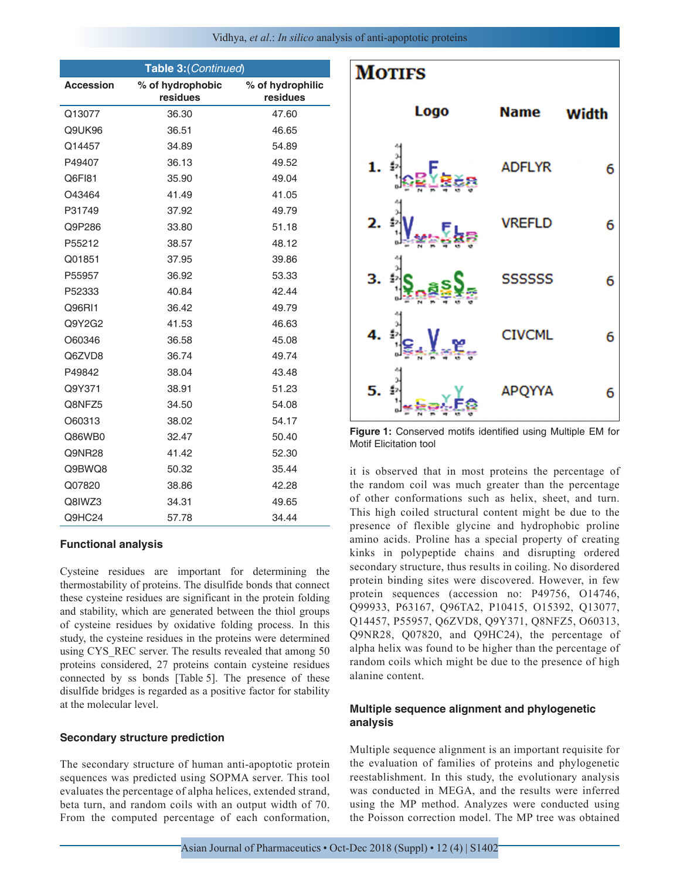|                  | Table 3: (Continued)         |                              |
|------------------|------------------------------|------------------------------|
| <b>Accession</b> | % of hydrophobic<br>residues | % of hydrophilic<br>residues |
| Q13077           | 36.30                        | 47.60                        |
| Q9UK96           | 36.51                        | 46.65                        |
| Q14457           | 34.89                        | 54.89                        |
| P49407           | 36.13                        | 49.52                        |
| Q6F181           | 35.90                        | 49.04                        |
| O43464           | 41.49                        | 41.05                        |
| P31749           | 37.92                        | 49.79                        |
| Q9P286           | 33.80                        | 51.18                        |
| P55212           | 38.57                        | 48.12                        |
| Q01851           | 37.95                        | 39.86                        |
| P55957           | 36.92                        | 53.33                        |
| P52333           | 40.84                        | 42.44                        |
| Q96RI1           | 36.42                        | 49.79                        |
| Q9Y2G2           | 41.53                        | 46.63                        |
| O60346           | 36.58                        | 45.08                        |
| Q6ZVD8           | 36.74                        | 49.74                        |
| P49842           | 38.04                        | 43.48                        |
| Q9Y371           | 38.91                        | 51.23                        |
| Q8NFZ5           | 34.50                        | 54.08                        |
| O60313           | 38.02                        | 54.17                        |
| Q86WB0           | 32.47                        | 50.40                        |
| Q9NR28           | 41.42                        | 52.30                        |
| Q9BWQ8           | 50.32                        | 35.44                        |
| Q07820           | 38.86                        | 42.28                        |
| Q8IWZ3           | 34.31                        | 49.65                        |
| Q9HC24           | 57.78                        | 34.44                        |

## **Functional analysis**

Cysteine residues are important for determining the thermostability of proteins. The disulfide bonds that connect these cysteine residues are significant in the protein folding and stability, which are generated between the thiol groups of cysteine residues by oxidative folding process. In this study, the cysteine residues in the proteins were determined using CYS\_REC server. The results revealed that among 50 proteins considered, 27 proteins contain cysteine residues connected by ss bonds [Table 5]. The presence of these disulfide bridges is regarded as a positive factor for stability at the molecular level.

#### **Secondary structure prediction**

The secondary structure of human anti-apoptotic protein sequences was predicted using SOPMA server. This tool evaluates the percentage of alpha helices, extended strand, beta turn, and random coils with an output width of 70. From the computed percentage of each conformation,



**Figure 1:** Conserved motifs identified using Multiple EM for Motif Elicitation tool

it is observed that in most proteins the percentage of the random coil was much greater than the percentage of other conformations such as helix, sheet, and turn. This high coiled structural content might be due to the presence of flexible glycine and hydrophobic proline amino acids. Proline has a special property of creating kinks in polypeptide chains and disrupting ordered secondary structure, thus results in coiling. No disordered protein binding sites were discovered. However, in few protein sequences (accession no: P49756, O14746, Q99933, P63167, Q96TA2, P10415, O15392, Q13077, Q14457, P55957, Q6ZVD8, Q9Y371, Q8NFZ5, O60313, Q9NR28, Q07820, and Q9HC24), the percentage of alpha helix was found to be higher than the percentage of random coils which might be due to the presence of high alanine content.

## **Multiple sequence alignment and phylogenetic analysis**

Multiple sequence alignment is an important requisite for the evaluation of families of proteins and phylogenetic reestablishment. In this study, the evolutionary analysis was conducted in MEGA, and the results were inferred using the MP method. Analyzes were conducted using the Poisson correction model. The MP tree was obtained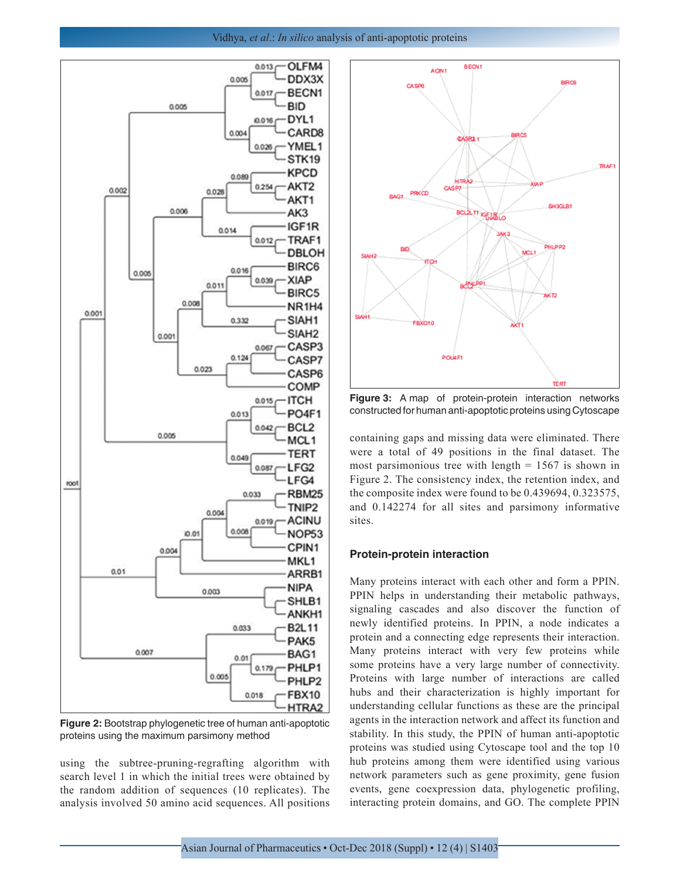

**Figure 2:** Bootstrap phylogenetic tree of human anti-apoptotic proteins using the maximum parsimony method

using the subtree-pruning-regrafting algorithm with search level 1 in which the initial trees were obtained by the random addition of sequences (10 replicates). The analysis involved 50 amino acid sequences. All positions



**Figure 3:** A map of protein-protein interaction networks constructed for human anti-apoptotic proteins using Cytoscape

containing gaps and missing data were eliminated. There were a total of 49 positions in the final dataset. The most parsimonious tree with length  $= 1567$  is shown in Figure 2. The consistency index, the retention index, and the composite index were found to be 0.439694, 0.323575, and 0.142274 for all sites and parsimony informative sites.

## **Protein-protein interaction**

Many proteins interact with each other and form a PPIN. PPIN helps in understanding their metabolic pathways, signaling cascades and also discover the function of newly identified proteins. In PPIN, a node indicates a protein and a connecting edge represents their interaction. Many proteins interact with very few proteins while some proteins have a very large number of connectivity. Proteins with large number of interactions are called hubs and their characterization is highly important for understanding cellular functions as these are the principal agents in the interaction network and affect its function and stability. In this study, the PPIN of human anti-apoptotic proteins was studied using Cytoscape tool and the top 10 hub proteins among them were identified using various network parameters such as gene proximity, gene fusion events, gene coexpression data, phylogenetic profiling, interacting protein domains, and GO. The complete PPIN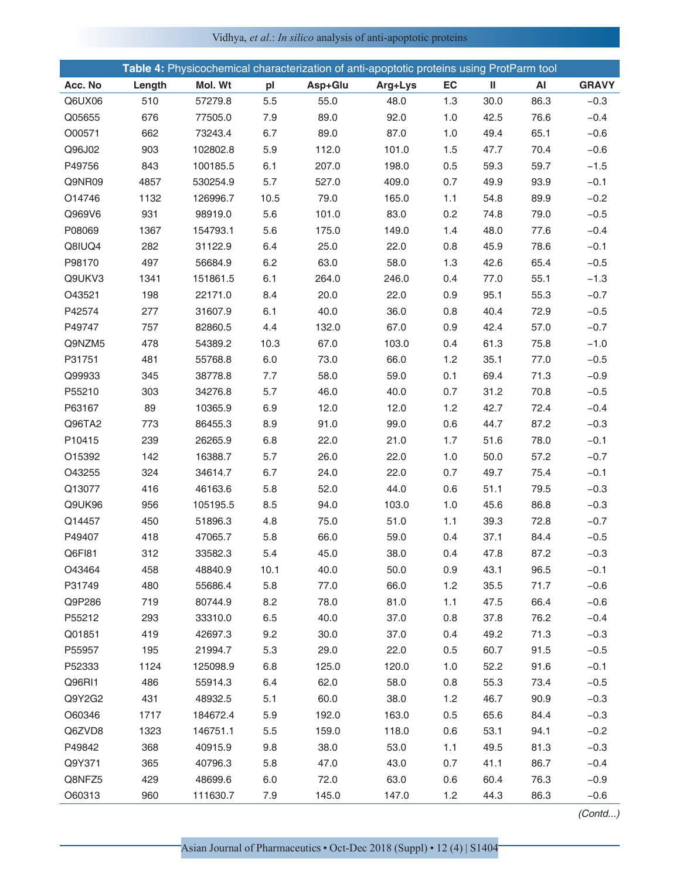|         |        |          |      |         | Table 4: Physicochemical characterization of anti-apoptotic proteins using ProtParm tool |     |      |      |              |
|---------|--------|----------|------|---------|------------------------------------------------------------------------------------------|-----|------|------|--------------|
| Acc. No | Length | Mol. Wt  | pl   | Asp+Glu | Arg+Lys                                                                                  | EC  | Ш    | AI   | <b>GRAVY</b> |
| Q6UX06  | 510    | 57279.8  | 5.5  | 55.0    | 48.0                                                                                     | 1.3 | 30.0 | 86.3 | $-0.3$       |
| Q05655  | 676    | 77505.0  | 7.9  | 89.0    | 92.0                                                                                     | 1.0 | 42.5 | 76.6 | $-0.4$       |
| O00571  | 662    | 73243.4  | 6.7  | 89.0    | 87.0                                                                                     | 1.0 | 49.4 | 65.1 | $-0.6$       |
| Q96J02  | 903    | 102802.8 | 5.9  | 112.0   | 101.0                                                                                    | 1.5 | 47.7 | 70.4 | $-0.6$       |
| P49756  | 843    | 100185.5 | 6.1  | 207.0   | 198.0                                                                                    | 0.5 | 59.3 | 59.7 | $-1.5$       |
| Q9NR09  | 4857   | 530254.9 | 5.7  | 527.0   | 409.0                                                                                    | 0.7 | 49.9 | 93.9 | $-0.1$       |
| O14746  | 1132   | 126996.7 | 10.5 | 79.0    | 165.0                                                                                    | 1.1 | 54.8 | 89.9 | $-0.2$       |
| Q969V6  | 931    | 98919.0  | 5.6  | 101.0   | 83.0                                                                                     | 0.2 | 74.8 | 79.0 | $-0.5$       |
| P08069  | 1367   | 154793.1 | 5.6  | 175.0   | 149.0                                                                                    | 1.4 | 48.0 | 77.6 | $-0.4$       |
| Q8IUQ4  | 282    | 31122.9  | 6.4  | 25.0    | 22.0                                                                                     | 0.8 | 45.9 | 78.6 | $-0.1$       |
| P98170  | 497    | 56684.9  | 6.2  | 63.0    | 58.0                                                                                     | 1.3 | 42.6 | 65.4 | $-0.5$       |
| Q9UKV3  | 1341   | 151861.5 | 6.1  | 264.0   | 246.0                                                                                    | 0.4 | 77.0 | 55.1 | $-1.3$       |
| O43521  | 198    | 22171.0  | 8.4  | 20.0    | 22.0                                                                                     | 0.9 | 95.1 | 55.3 | $-0.7$       |
| P42574  | 277    | 31607.9  | 6.1  | 40.0    | 36.0                                                                                     | 0.8 | 40.4 | 72.9 | $-0.5$       |
| P49747  | 757    | 82860.5  | 4.4  | 132.0   | 67.0                                                                                     | 0.9 | 42.4 | 57.0 | $-0.7$       |
| Q9NZM5  | 478    | 54389.2  | 10.3 | 67.0    | 103.0                                                                                    | 0.4 | 61.3 | 75.8 | $-1.0$       |
| P31751  | 481    | 55768.8  | 6.0  | 73.0    | 66.0                                                                                     | 1.2 | 35.1 | 77.0 | $-0.5$       |
| Q99933  | 345    | 38778.8  | 7.7  | 58.0    | 59.0                                                                                     | 0.1 | 69.4 | 71.3 | $-0.9$       |
| P55210  | 303    | 34276.8  | 5.7  | 46.0    | 40.0                                                                                     | 0.7 | 31.2 | 70.8 | $-0.5$       |
| P63167  | 89     | 10365.9  | 6.9  | 12.0    | 12.0                                                                                     | 1.2 | 42.7 | 72.4 | $-0.4$       |
| Q96TA2  | 773    | 86455.3  | 8.9  | 91.0    | 99.0                                                                                     | 0.6 | 44.7 | 87.2 | $-0.3$       |
| P10415  | 239    | 26265.9  | 6.8  | 22.0    | 21.0                                                                                     | 1.7 | 51.6 | 78.0 | $-0.1$       |
| O15392  | 142    | 16388.7  | 5.7  | 26.0    | 22.0                                                                                     | 1.0 | 50.0 | 57.2 | $-0.7$       |
| O43255  | 324    | 34614.7  | 6.7  | 24.0    | 22.0                                                                                     | 0.7 | 49.7 | 75.4 | $-0.1$       |
| Q13077  | 416    | 46163.6  | 5.8  | 52.0    | 44.0                                                                                     | 0.6 | 51.1 | 79.5 | $-0.3$       |
| Q9UK96  | 956    | 105195.5 | 8.5  | 94.0    | 103.0                                                                                    | 1.0 | 45.6 | 86.8 | $-0.3$       |
| Q14457  | 450    | 51896.3  | 4.8  | 75.0    | 51.0                                                                                     | 1.1 | 39.3 | 72.8 | $-0.7$       |
| P49407  | 418    | 47065.7  | 5.8  | 66.0    | 59.0                                                                                     | 0.4 | 37.1 | 84.4 | $-0.5$       |
| Q6FI81  | 312    | 33582.3  | 5.4  | 45.0    | 38.0                                                                                     | 0.4 | 47.8 | 87.2 | $-0.3$       |
| O43464  | 458    | 48840.9  | 10.1 | 40.0    | 50.0                                                                                     | 0.9 | 43.1 | 96.5 | $-0.1$       |
| P31749  | 480    | 55686.4  | 5.8  | 77.0    | 66.0                                                                                     | 1.2 | 35.5 | 71.7 | $-0.6$       |
| Q9P286  | 719    | 80744.9  | 8.2  | 78.0    | 81.0                                                                                     | 1.1 | 47.5 | 66.4 | $-0.6$       |
| P55212  | 293    | 33310.0  | 6.5  | 40.0    | 37.0                                                                                     | 0.8 | 37.8 | 76.2 | $-0.4$       |
| Q01851  | 419    | 42697.3  | 9.2  | 30.0    | 37.0                                                                                     | 0.4 | 49.2 | 71.3 | $-0.3$       |
| P55957  | 195    | 21994.7  | 5.3  | 29.0    | 22.0                                                                                     | 0.5 | 60.7 | 91.5 | $-0.5$       |
| P52333  | 1124   | 125098.9 | 6.8  | 125.0   | 120.0                                                                                    | 1.0 | 52.2 | 91.6 | $-0.1$       |
| Q96RI1  | 486    | 55914.3  | 6.4  | 62.0    | 58.0                                                                                     | 0.8 | 55.3 | 73.4 | $-0.5$       |
| Q9Y2G2  | 431    | 48932.5  | 5.1  | 60.0    | 38.0                                                                                     | 1.2 | 46.7 | 90.9 | $-0.3$       |
| O60346  | 1717   | 184672.4 | 5.9  | 192.0   | 163.0                                                                                    | 0.5 | 65.6 | 84.4 | $-0.3$       |
| Q6ZVD8  | 1323   | 146751.1 | 5.5  | 159.0   | 118.0                                                                                    | 0.6 | 53.1 | 94.1 | $-0.2$       |
| P49842  | 368    | 40915.9  | 9.8  | 38.0    | 53.0                                                                                     | 1.1 | 49.5 | 81.3 | $-0.3$       |
| Q9Y371  | 365    | 40796.3  | 5.8  | 47.0    | 43.0                                                                                     | 0.7 | 41.1 | 86.7 | $-0.4$       |
| Q8NFZ5  | 429    | 48699.6  | 6.0  | 72.0    | 63.0                                                                                     | 0.6 | 60.4 | 76.3 | $-0.9$       |
| O60313  | 960    | 111630.7 | 7.9  | 145.0   | 147.0                                                                                    | 1.2 | 44.3 | 86.3 | $-0.6$       |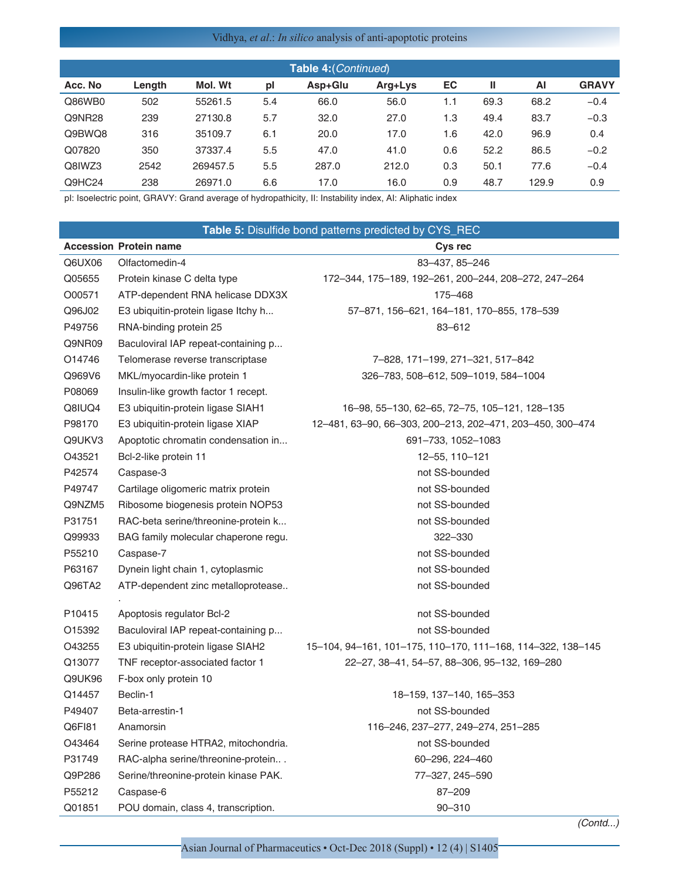| Table 4: (Continued) |        |          |     |         |         |     |      |       |              |
|----------------------|--------|----------|-----|---------|---------|-----|------|-------|--------------|
| Acc. No              | Length | Mol. Wt  | pl  | Asp+Glu | Arg+Lys | EC  | Ш    | ΑI    | <b>GRAVY</b> |
| Q86WB0               | 502    | 55261.5  | 5.4 | 66.0    | 56.0    | 1.1 | 69.3 | 68.2  | $-0.4$       |
| Q9NR28               | 239    | 27130.8  | 5.7 | 32.0    | 27.0    | 1.3 | 49.4 | 83.7  | $-0.3$       |
| Q9BWQ8               | 316    | 35109.7  | 6.1 | 20.0    | 17.0    | 1.6 | 42.0 | 96.9  | 0.4          |
| Q07820               | 350    | 37337.4  | 5.5 | 47.0    | 41.0    | 0.6 | 52.2 | 86.5  | $-0.2$       |
| Q8IWZ3               | 2542   | 269457.5 | 5.5 | 287.0   | 212.0   | 0.3 | 50.1 | 77.6  | $-0.4$       |
| Q9HC24               | 238    | 26971.0  | 6.6 | 17.0    | 16.0    | 0.9 | 48.7 | 129.9 | 0.9          |

pl: Isoelectric point, GRAVY: Grand average of hydropathicity, II: Instability index, AI: Aliphatic index

|        |                                      | Table 5: Disulfide bond patterns predicted by CYS_REC       |
|--------|--------------------------------------|-------------------------------------------------------------|
|        | <b>Accession Protein name</b>        | Cys rec                                                     |
| Q6UX06 | Olfactomedin-4                       | 83-437, 85-246                                              |
| Q05655 | Protein kinase C delta type          | 172-344, 175-189, 192-261, 200-244, 208-272, 247-264        |
| O00571 | ATP-dependent RNA helicase DDX3X     | 175-468                                                     |
| Q96J02 | E3 ubiquitin-protein ligase Itchy h  | 57-871, 156-621, 164-181, 170-855, 178-539                  |
| P49756 | RNA-binding protein 25               | 83-612                                                      |
| Q9NR09 | Baculoviral IAP repeat-containing p  |                                                             |
| O14746 | Telomerase reverse transcriptase     | 7-828, 171-199, 271-321, 517-842                            |
| Q969V6 | MKL/myocardin-like protein 1         | 326-783, 508-612, 509-1019, 584-1004                        |
| P08069 | Insulin-like growth factor 1 recept. |                                                             |
| Q8IUQ4 | E3 ubiquitin-protein ligase SIAH1    | 16-98, 55-130, 62-65, 72-75, 105-121, 128-135               |
| P98170 | E3 ubiquitin-protein ligase XIAP     | 12-481, 63-90, 66-303, 200-213, 202-471, 203-450, 300-474   |
| Q9UKV3 | Apoptotic chromatin condensation in  | 691-733, 1052-1083                                          |
| O43521 | Bcl-2-like protein 11                | 12-55, 110-121                                              |
| P42574 | Caspase-3                            | not SS-bounded                                              |
| P49747 | Cartilage oligomeric matrix protein  | not SS-bounded                                              |
| Q9NZM5 | Ribosome biogenesis protein NOP53    | not SS-bounded                                              |
| P31751 | RAC-beta serine/threonine-protein k  | not SS-bounded                                              |
| Q99933 | BAG family molecular chaperone regu. | 322-330                                                     |
| P55210 | Caspase-7                            | not SS-bounded                                              |
| P63167 | Dynein light chain 1, cytoplasmic    | not SS-bounded                                              |
| Q96TA2 | ATP-dependent zinc metalloprotease   | not SS-bounded                                              |
|        |                                      |                                                             |
| P10415 | Apoptosis regulator Bcl-2            | not SS-bounded                                              |
| O15392 | Baculoviral IAP repeat-containing p  | not SS-bounded                                              |
| O43255 | E3 ubiquitin-protein ligase SIAH2    | 15-104, 94-161, 101-175, 110-170, 111-168, 114-322, 138-145 |
| Q13077 | TNF receptor-associated factor 1     | 22-27, 38-41, 54-57, 88-306, 95-132, 169-280                |
| Q9UK96 | F-box only protein 10                |                                                             |
| Q14457 | Beclin-1                             | 18-159, 137-140, 165-353                                    |
| P49407 | Beta-arrestin-1                      | not SS-bounded                                              |
| Q6FI81 | Anamorsin                            | 116-246, 237-277, 249-274, 251-285                          |
| O43464 | Serine protease HTRA2, mitochondria. | not SS-bounded                                              |
| P31749 | RAC-alpha serine/threonine-protein   | 60-296, 224-460                                             |
| Q9P286 | Serine/threonine-protein kinase PAK. | 77-327, 245-590                                             |
| P55212 | Caspase-6                            | 87-209                                                      |
| Q01851 | POU domain, class 4, transcription.  | $90 - 310$                                                  |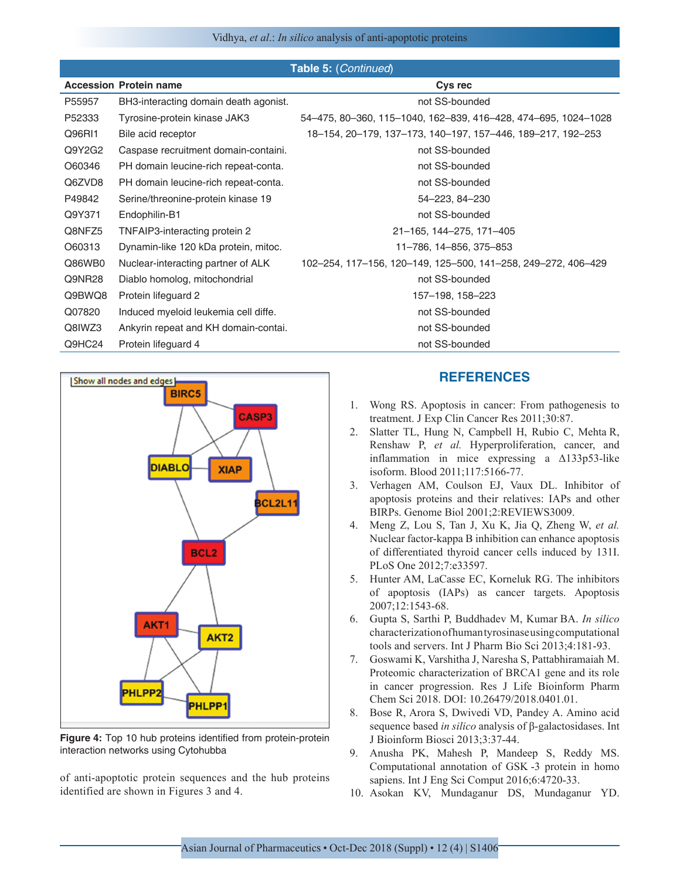|        | <b>Table 5: (Continued)</b>           |                                                                |  |  |  |  |  |  |  |
|--------|---------------------------------------|----------------------------------------------------------------|--|--|--|--|--|--|--|
|        | <b>Accession Protein name</b>         | Cys rec                                                        |  |  |  |  |  |  |  |
| P55957 | BH3-interacting domain death agonist. | not SS-bounded                                                 |  |  |  |  |  |  |  |
| P52333 | Tyrosine-protein kinase JAK3          | 54–475, 80–360, 115–1040, 162–839, 416–428, 474–695, 1024–1028 |  |  |  |  |  |  |  |
| Q96R11 | Bile acid receptor                    | 18-154, 20-179, 137-173, 140-197, 157-446, 189-217, 192-253    |  |  |  |  |  |  |  |
| Q9Y2G2 | Caspase recruitment domain-containi.  | not SS-bounded                                                 |  |  |  |  |  |  |  |
| O60346 | PH domain leucine-rich repeat-conta.  | not SS-bounded                                                 |  |  |  |  |  |  |  |
| Q6ZVD8 | PH domain leucine-rich repeat-conta.  | not SS-bounded                                                 |  |  |  |  |  |  |  |
| P49842 | Serine/threonine-protein kinase 19    | 54-223, 84-230                                                 |  |  |  |  |  |  |  |
| Q9Y371 | Endophilin-B1                         | not SS-bounded                                                 |  |  |  |  |  |  |  |
| Q8NFZ5 | TNFAIP3-interacting protein 2         | 21-165, 144-275, 171-405                                       |  |  |  |  |  |  |  |
| O60313 | Dynamin-like 120 kDa protein, mitoc.  | 11-786, 14-856, 375-853                                        |  |  |  |  |  |  |  |
| Q86WB0 | Nuclear-interacting partner of ALK    | 102-254, 117-156, 120-149, 125-500, 141-258, 249-272, 406-429  |  |  |  |  |  |  |  |
| Q9NR28 | Diablo homolog, mitochondrial         | not SS-bounded                                                 |  |  |  |  |  |  |  |
| Q9BWQ8 | Protein lifeguard 2                   | 157-198, 158-223                                               |  |  |  |  |  |  |  |
| Q07820 | Induced myeloid leukemia cell diffe.  | not SS-bounded                                                 |  |  |  |  |  |  |  |
| Q8IWZ3 | Ankyrin repeat and KH domain-contai.  | not SS-bounded                                                 |  |  |  |  |  |  |  |
| Q9HC24 | Protein lifeguard 4                   | not SS-bounded                                                 |  |  |  |  |  |  |  |



**Figure 4:** Top 10 hub proteins identified from protein-protein interaction networks using Cytohubba

of anti-apoptotic protein sequences and the hub proteins identified are shown in Figures 3 and 4.

# **REFERENCES**

- 1. Wong RS. Apoptosis in cancer: From pathogenesis to treatment. J Exp Clin Cancer Res 2011;30:87.
- 2. Slatter TL, Hung N, Campbell H, Rubio C, Mehta R, Renshaw P, *et al.* Hyperproliferation, cancer, and inflammation in mice expressing a Δ133p53-like isoform. Blood 2011;117:5166-77.
- 3. Verhagen AM, Coulson EJ, Vaux DL. Inhibitor of apoptosis proteins and their relatives: IAPs and other BIRPs. Genome Biol 2001;2:REVIEWS3009.
- 4. Meng Z, Lou S, Tan J, Xu K, Jia Q, Zheng W, *et al.* Nuclear factor-kappa B inhibition can enhance apoptosis of differentiated thyroid cancer cells induced by 131I. PLoS One 2012;7:e33597.
- 5. Hunter AM, LaCasse EC, Korneluk RG. The inhibitors of apoptosis (IAPs) as cancer targets. Apoptosis 2007;12:1543-68.
- 6. Gupta S, Sarthi P, Buddhadev M, Kumar BA. *In silico* characterization of human tyrosinase using computational tools and servers. Int J Pharm Bio Sci 2013;4:181-93.
- 7. Goswami K, Varshitha J, Naresha S, Pattabhiramaiah M. Proteomic characterization of BRCA1 gene and its role in cancer progression. Res J Life Bioinform Pharm Chem Sci 2018. DOI: 10.26479/2018.0401.01.
- 8. Bose R, Arora S, Dwivedi VD, Pandey A. Amino acid sequence based *in silico* analysis of β-galactosidases. Int J Bioinform Biosci 2013;3:37-44.
- 9. Anusha PK, Mahesh P, Mandeep S, Reddy MS. Computational annotation of GSK -3 protein in homo sapiens. Int J Eng Sci Comput 2016;6:4720-33.
- 10. Asokan KV, Mundaganur DS, Mundaganur YD.